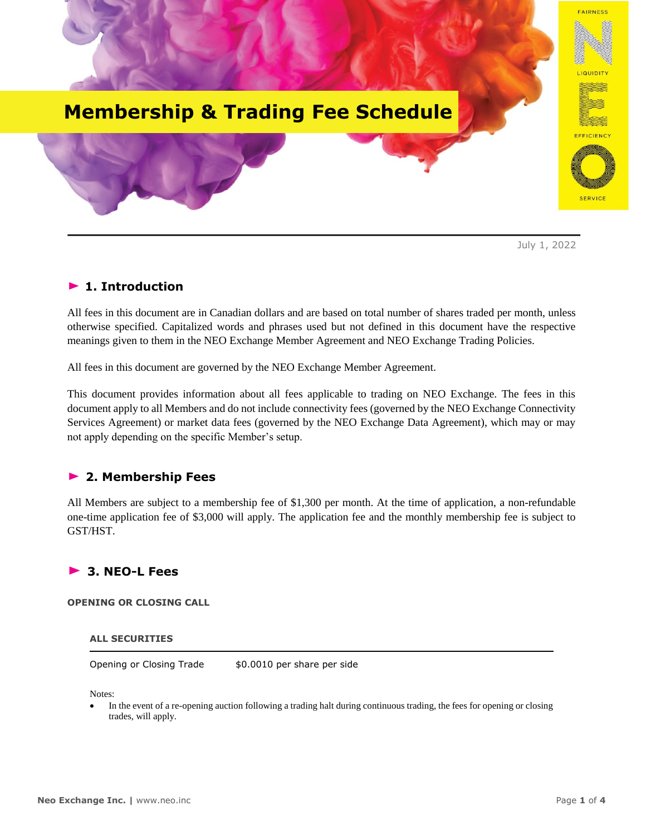

July 1, 2022

# ► **1. Introduction**

All fees in this document are in Canadian dollars and are based on total number of shares traded per month, unless otherwise specified. Capitalized words and phrases used but not defined in this document have the respective meanings given to them in the NEO Exchange Member Agreement and NEO Exchange Trading Policies.

All fees in this document are governed by the NEO Exchange Member Agreement.

This document provides information about all fees applicable to trading on NEO Exchange. The fees in this document apply to all Members and do not include connectivity fees (governed by the NEO Exchange Connectivity Services Agreement) or market data fees (governed by the NEO Exchange Data Agreement), which may or may not apply depending on the specific Member's setup.

## **► 2. Membership Fees**

All Members are subject to a membership fee of \$1,300 per month. At the time of application, a non-refundable one-time application fee of \$3,000 will apply. The application fee and the monthly membership fee is subject to GST/HST.

# **► 3. NEO-L Fees**

**OPENING OR CLOSING CALL**

#### **ALL SECURITIES**

Opening or Closing Trade \$0.0010 per share per side

Notes:

• In the event of a re-opening auction following a trading halt during continuous trading, the fees for opening or closing trades, will apply.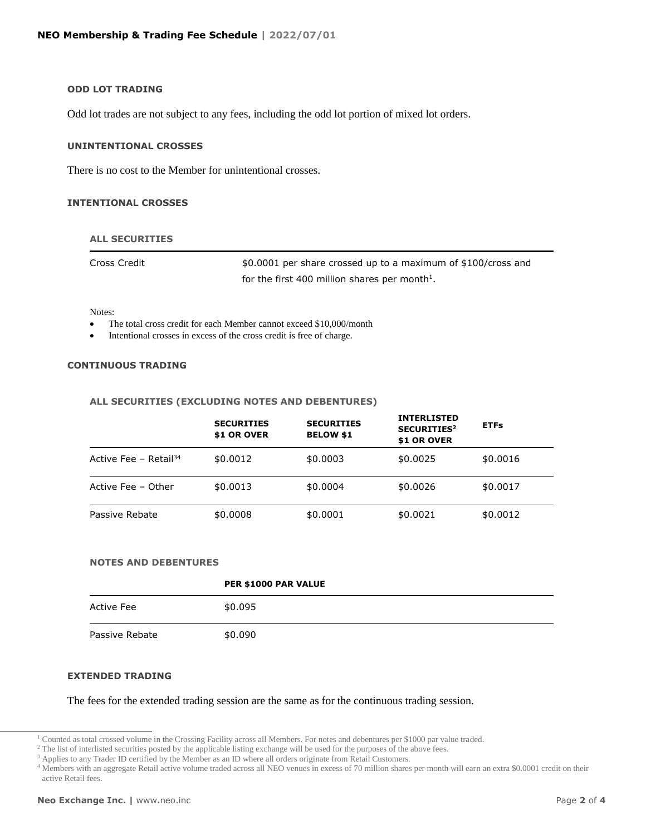#### **ODD LOT TRADING**

Odd lot trades are not subject to any fees, including the odd lot portion of mixed lot orders.

### **UNINTENTIONAL CROSSES**

There is no cost to the Member for unintentional crosses.

#### **INTENTIONAL CROSSES**

#### **ALL SECURITIES**

Cross Credit \$0.0001 per share crossed up to a maximum of \$100/cross and for the first 400 million shares per month<sup>1</sup>.

Notes:

- The total cross credit for each Member cannot exceed \$10,000/month
- Intentional crosses in excess of the cross credit is free of charge.

#### **CONTINUOUS TRADING**

#### **ALL SECURITIES (EXCLUDING NOTES AND DEBENTURES)**

|                                   | <b>SECURITIES</b><br>\$1 OR OVER | <b>SECURITIES</b><br><b>BELOW \$1</b> | <b>INTERLISTED</b><br>SECURITIES <sup>2</sup><br>\$1 OR OVER | <b>ETFs</b> |  |
|-----------------------------------|----------------------------------|---------------------------------------|--------------------------------------------------------------|-------------|--|
| Active Fee - Retail <sup>34</sup> | \$0,0012                         | \$0.0003                              | \$0.0025                                                     | \$0.0016    |  |
| Active Fee - Other                | \$0.0013                         | \$0,0004                              | \$0,0026                                                     | \$0.0017    |  |
| Passive Rebate                    | \$0.0008                         | \$0.0001                              | \$0.0021                                                     | \$0.0012    |  |

#### **NOTES AND DEBENTURES**

|                | PER \$1000 PAR VALUE |
|----------------|----------------------|
| Active Fee     | \$0.095              |
| Passive Rebate | \$0.090              |

#### **EXTENDED TRADING**

The fees for the extended trading session are the same as for the continuous trading session.

 $\overline{a}$ 

<sup>&</sup>lt;sup>1</sup> Counted as total crossed volume in the Crossing Facility across all Members. For notes and debentures per \$1000 par value traded.

<sup>&</sup>lt;sup>2</sup> The list of interlisted securities posted by the applicable listing exchange will be used for the purposes of the above fees.

<sup>&</sup>lt;sup>3</sup> Applies to any Trader ID certified by the Member as an ID where all orders originate from Retail Customers.

<sup>&</sup>lt;sup>4</sup> Members with an aggregate Retail active volume traded across all NEO venues in excess of 70 million shares per month will earn an extra \$0.0001 credit on their active Retail fees.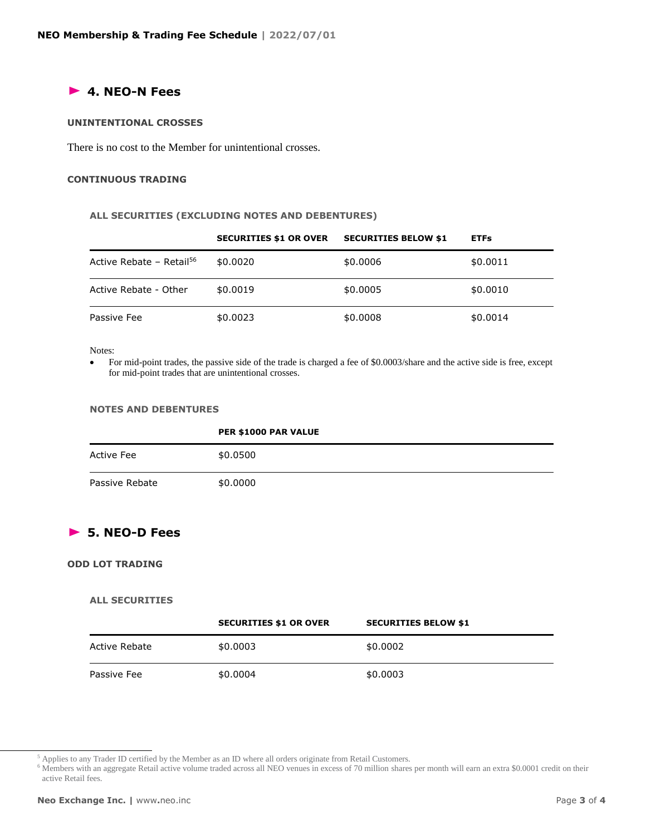## **► 4. NEO-N Fees**

#### **UNINTENTIONAL CROSSES**

There is no cost to the Member for unintentional crosses.

#### **CONTINUOUS TRADING**

#### **ALL SECURITIES (EXCLUDING NOTES AND DEBENTURES)**

|                                      | <b>SECURITIES \$1 OR OVER</b> | <b>SECURITIES BELOW \$1</b> | <b>ETFs</b> |
|--------------------------------------|-------------------------------|-----------------------------|-------------|
| Active Rebate - Retail <sup>56</sup> | \$0,0020                      | \$0.0006                    | \$0.0011    |
| Active Rebate - Other                | \$0,0019                      | \$0.0005                    | \$0.0010    |
| Passive Fee                          | \$0.0023                      | \$0.0008                    | \$0.0014    |

#### Notes:

• For mid-point trades, the passive side of the trade is charged a fee of \$0.0003/share and the active side is free, except for mid-point trades that are unintentional crosses.

#### **NOTES AND DEBENTURES**

|                | PER \$1000 PAR VALUE |
|----------------|----------------------|
| Active Fee     | \$0.0500             |
| Passive Rebate | \$0.0000             |

# **► 5. NEO-D Fees**

### **ODD LOT TRADING**

### **ALL SECURITIES**

|               | <b>SECURITIES \$1 OR OVER</b> | <b>SECURITIES BELOW \$1</b> |
|---------------|-------------------------------|-----------------------------|
| Active Rebate | \$0.0003                      | \$0.0002                    |
| Passive Fee   | \$0.0004                      | \$0.0003                    |

 $\overline{a}$ 

<sup>5</sup> Applies to any Trader ID certified by the Member as an ID where all orders originate from Retail Customers.

<sup>6</sup> Members with an aggregate Retail active volume traded across all NEO venues in excess of 70 million shares per month will earn an extra \$0.0001 credit on their active Retail fees.